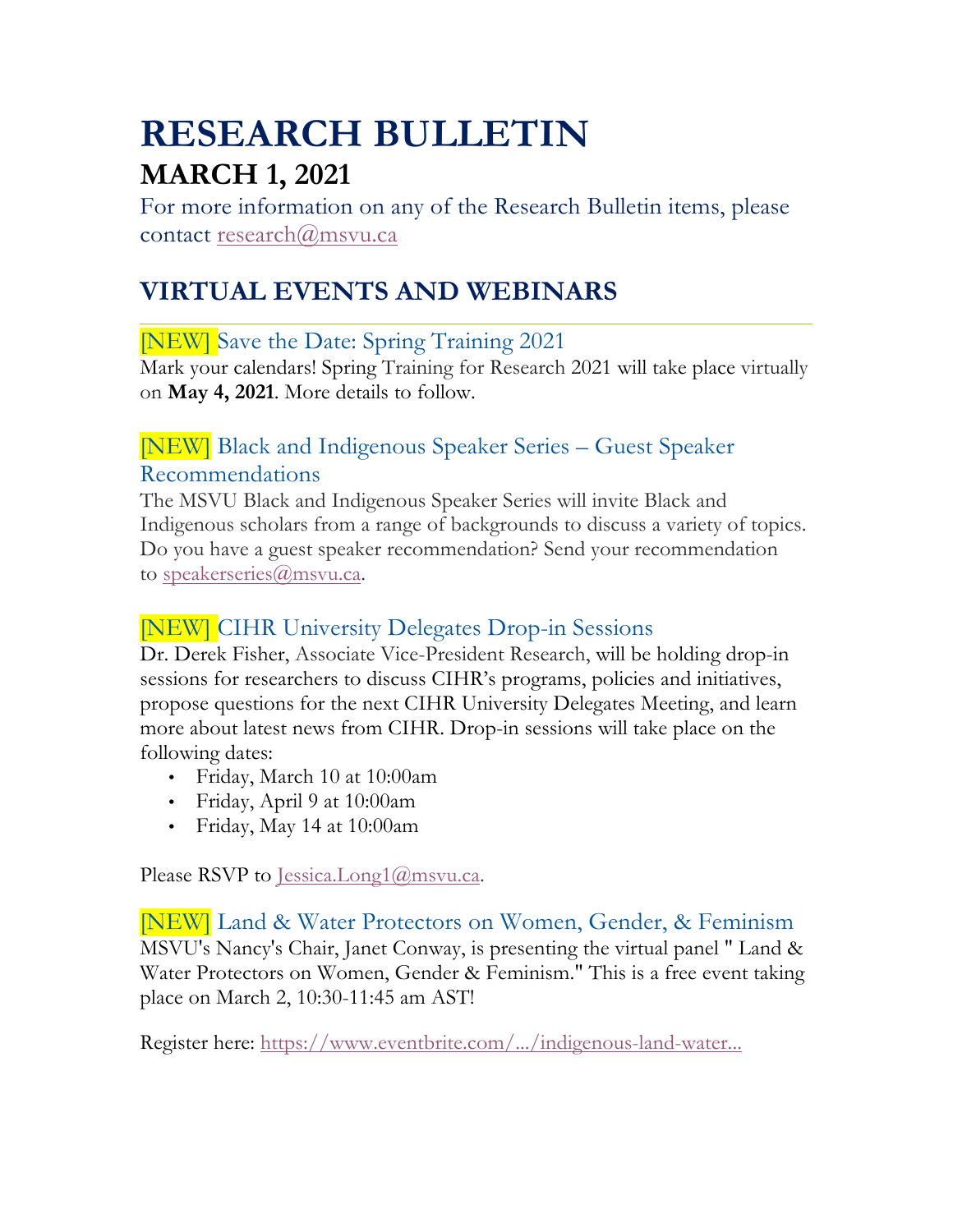# **RESEARCH BULLETIN MARCH 1, 2021**

For more information on any of the Research Bulletin items, please contact research@msvu.ca

# **VIRTUAL EVENTS AND WEBINARS**

#### [NEW] Save the Date: Spring Training 2021

Mark your calendars! Spring Training for Research 2021 will take place virtually on **May 4, 2021**. More details to follow.

#### [NEW] Black and Indigenous Speaker Series – Guest Speaker Recommendations

The MSVU Black and Indigenous Speaker Series will invite Black and Indigenous scholars from a range of backgrounds to discuss a variety of topics. Do you have a guest speaker recommendation? Send your recommendation to speakerseries@msvu.ca.

#### [NEW] CIHR University Delegates Drop-in Sessions

Dr. Derek Fisher, Associate Vice-President Research, will be holding drop-in sessions for researchers to discuss CIHR's programs, policies and initiatives, propose questions for the next CIHR University Delegates Meeting, and learn more about latest news from CIHR. Drop-in sessions will take place on the following dates:

- Friday, March 10 at 10:00am
- Friday, April 9 at 10:00am
- Friday, May 14 at 10:00am

Please RSVP to Jessica.Long1@msvu.ca.

#### [NEW] Land & Water Protectors on Women, Gender, & Feminism MSVU's Nancy's Chair, Janet Conway, is presenting the virtual panel " Land & Water Protectors on Women, Gender & Feminism." This is a free event taking place on March 2, 10:30-11:45 am AST!

Register here: https://www.eventbrite.com/.../indigenous-land-water...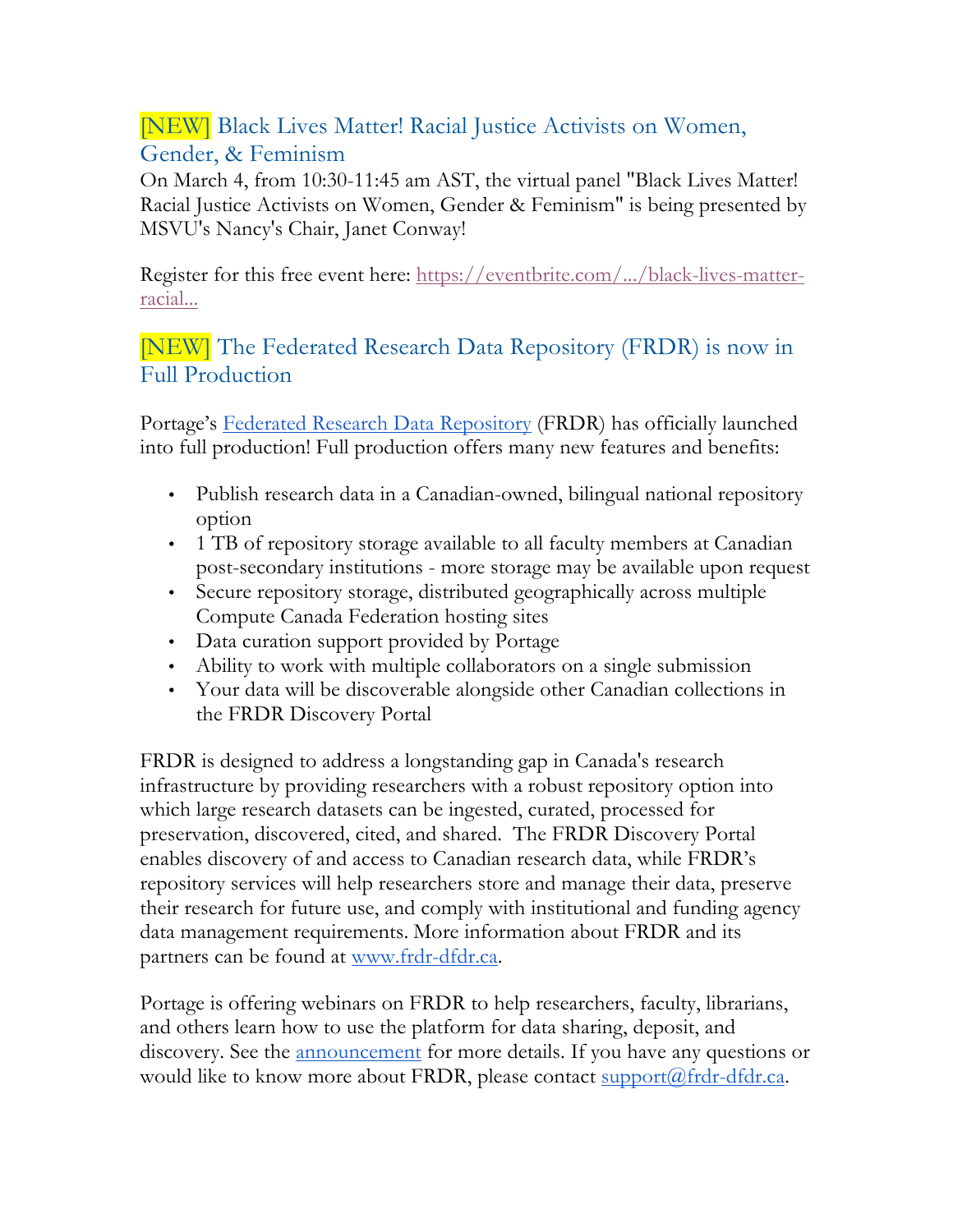### [NEW] Black Lives Matter! Racial Justice Activists on Women, Gender, & Feminism

On March 4, from 10:30-11:45 am AST, the virtual panel "Black Lives Matter! Racial Justice Activists on Women, Gender & Feminism" is being presented by MSVU's Nancy's Chair, Janet Conway!

Register for this free event here: https://eventbrite.com/.../black-lives-matterracial...

#### [NEW] The Federated Research Data Repository (FRDR) is now in Full Production

Portage's Federated Research Data Repository (FRDR) has officially launched into full production! Full production offers many new features and benefits:

- Publish research data in a Canadian-owned, bilingual national repository option
- 1 TB of repository storage available to all faculty members at Canadian post-secondary institutions - more storage may be available upon request
- Secure repository storage, distributed geographically across multiple Compute Canada Federation hosting sites
- Data curation support provided by Portage
- Ability to work with multiple collaborators on a single submission
- Your data will be discoverable alongside other Canadian collections in the FRDR Discovery Portal

FRDR is designed to address a longstanding gap in Canada's research infrastructure by providing researchers with a robust repository option into which large research datasets can be ingested, curated, processed for preservation, discovered, cited, and shared. The FRDR Discovery Portal enables discovery of and access to Canadian research data, while FRDR's repository services will help researchers store and manage their data, preserve their research for future use, and comply with institutional and funding agency data management requirements. More information about FRDR and its partners can be found at www.frdr-dfdr.ca.

Portage is offering webinars on FRDR to help researchers, faculty, librarians, and others learn how to use the platform for data sharing, deposit, and discovery. See the announcement for more details. If you have any questions or would like to know more about FRDR, please contact support@frdr-dfdr.ca.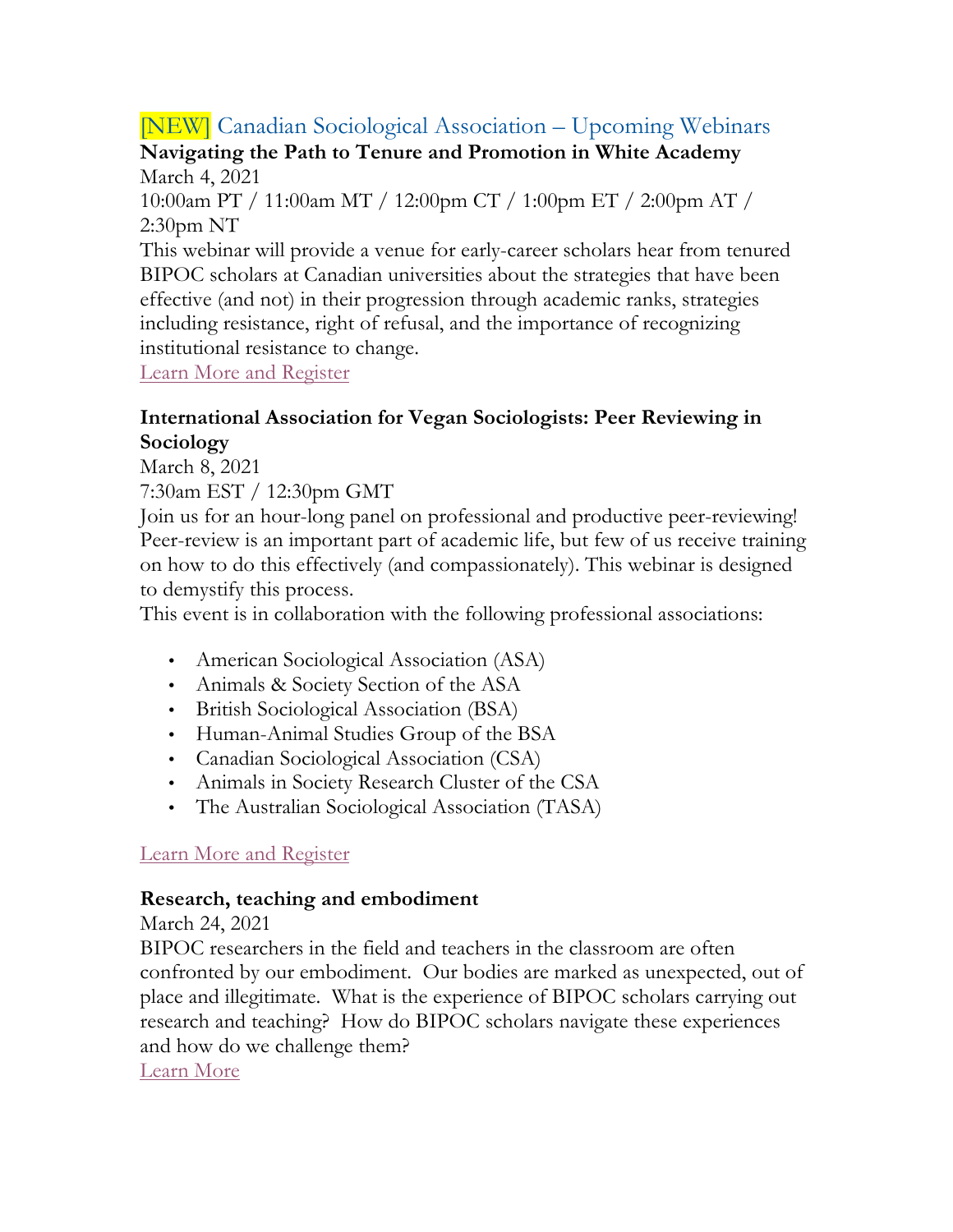## [NEW] Canadian Sociological Association – Upcoming Webinars

#### **Navigating the Path to Tenure and Promotion in White Academy** March 4, 2021

10:00am PT / 11:00am MT / 12:00pm CT / 1:00pm ET / 2:00pm AT / 2:30pm NT

This webinar will provide a venue for early-career scholars hear from tenured BIPOC scholars at Canadian universities about the strategies that have been effective (and not) in their progression through academic ranks, strategies including resistance, right of refusal, and the importance of recognizing institutional resistance to change.

Learn More and Register

#### **International Association for Vegan Sociologists: Peer Reviewing in Sociology**

March 8, 2021

7:30am EST / 12:30pm GMT

Join us for an hour-long panel on professional and productive peer-reviewing! Peer-review is an important part of academic life, but few of us receive training on how to do this effectively (and compassionately). This webinar is designed to demystify this process.

This event is in collaboration with the following professional associations:

- American Sociological Association (ASA)
- Animals & Society Section of the ASA
- British Sociological Association (BSA)
- Human-Animal Studies Group of the BSA
- Canadian Sociological Association (CSA)
- Animals in Society Research Cluster of the CSA
- The Australian Sociological Association (TASA)

#### Learn More and Register

#### **Research, teaching and embodiment**

March 24, 2021

BIPOC researchers in the field and teachers in the classroom are often confronted by our embodiment. Our bodies are marked as unexpected, out of place and illegitimate. What is the experience of BIPOC scholars carrying out research and teaching? How do BIPOC scholars navigate these experiences and how do we challenge them?

Learn More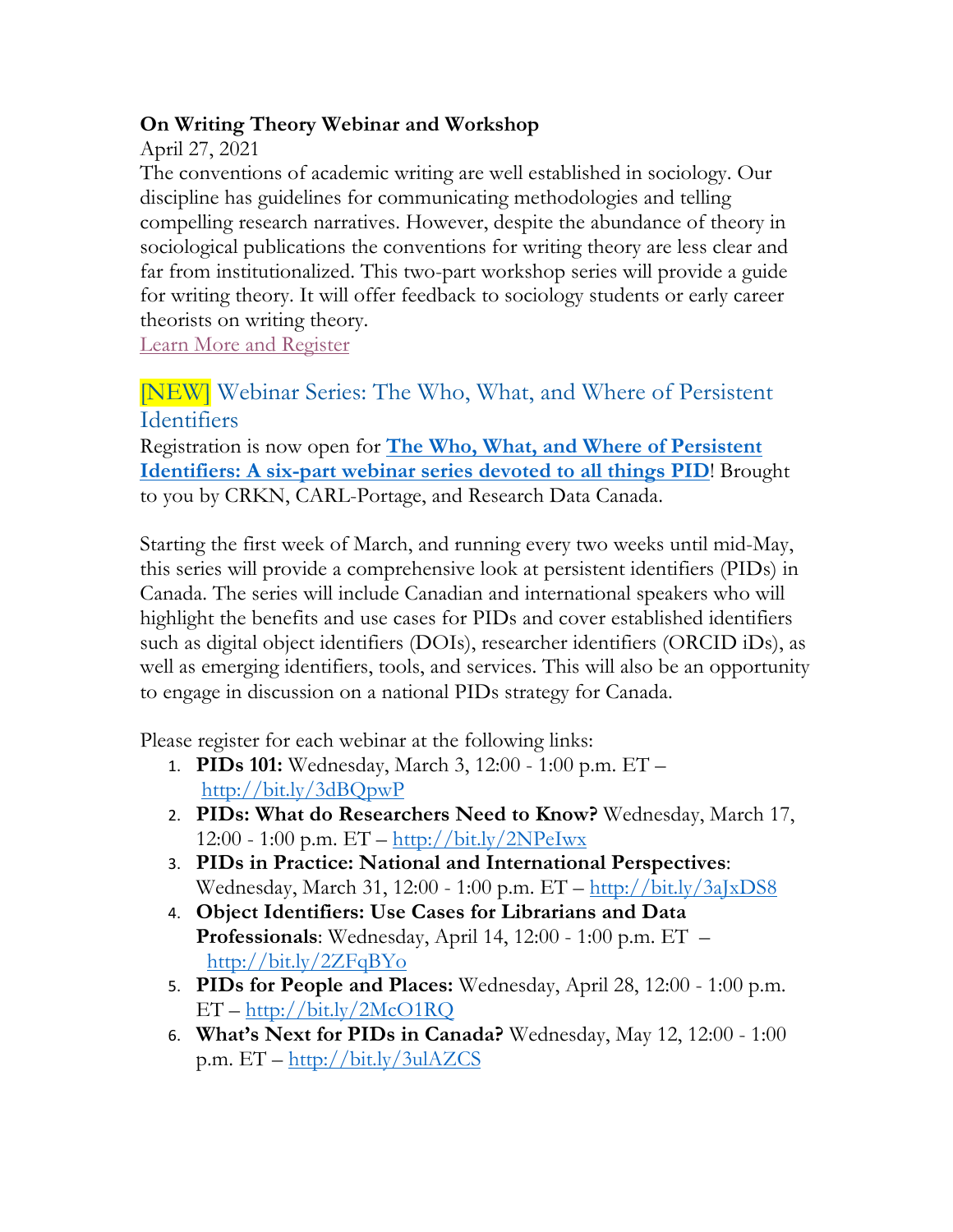#### **On Writing Theory Webinar and Workshop**

April 27, 2021

The conventions of academic writing are well established in sociology. Our discipline has guidelines for communicating methodologies and telling compelling research narratives. However, despite the abundance of theory in sociological publications the conventions for writing theory are less clear and far from institutionalized. This two-part workshop series will provide a guide for writing theory. It will offer feedback to sociology students or early career theorists on writing theory.

Learn More and Register

#### [NEW] Webinar Series: The Who, What, and Where of Persistent Identifiers

Registration is now open for **The Who, What, and Where of Persistent Identifiers: A six-part webinar series devoted to all things PID**! Brought to you by CRKN, CARL-Portage, and Research Data Canada.

Starting the first week of March, and running every two weeks until mid-May, this series will provide a comprehensive look at persistent identifiers (PIDs) in Canada. The series will include Canadian and international speakers who will highlight the benefits and use cases for PIDs and cover established identifiers such as digital object identifiers (DOIs), researcher identifiers (ORCID iDs), as well as emerging identifiers, tools, and services. This will also be an opportunity to engage in discussion on a national PIDs strategy for Canada.

Please register for each webinar at the following links:

- 1. **PIDs 101:** Wednesday, March 3, 12:00 1:00 p.m. ET http://bit.ly/3dBQpwP
- 2. **PIDs: What do Researchers Need to Know?** Wednesday, March 17, 12:00 - 1:00 p.m.  $ET - http://bit.ly/2NPelwx$
- 3. **PIDs in Practice: National and International Perspectives**: Wednesday, March 31, 12:00 - 1:00 p.m. ET – http://bit.ly/3aJxDS8
- 4. **Object Identifiers: Use Cases for Librarians and Data Professionals**: Wednesday, April 14, 12:00 - 1:00 p.m. ET – http://bit.ly/2ZFqBYo
- 5. **PIDs for People and Places:** Wednesday, April 28, 12:00 1:00 p.m. ET – http://bit.ly/2McO1RQ
- 6. **What's Next for PIDs in Canada?** Wednesday, May 12, 12:00 1:00 p.m. ET – http://bit.ly/3ulAZCS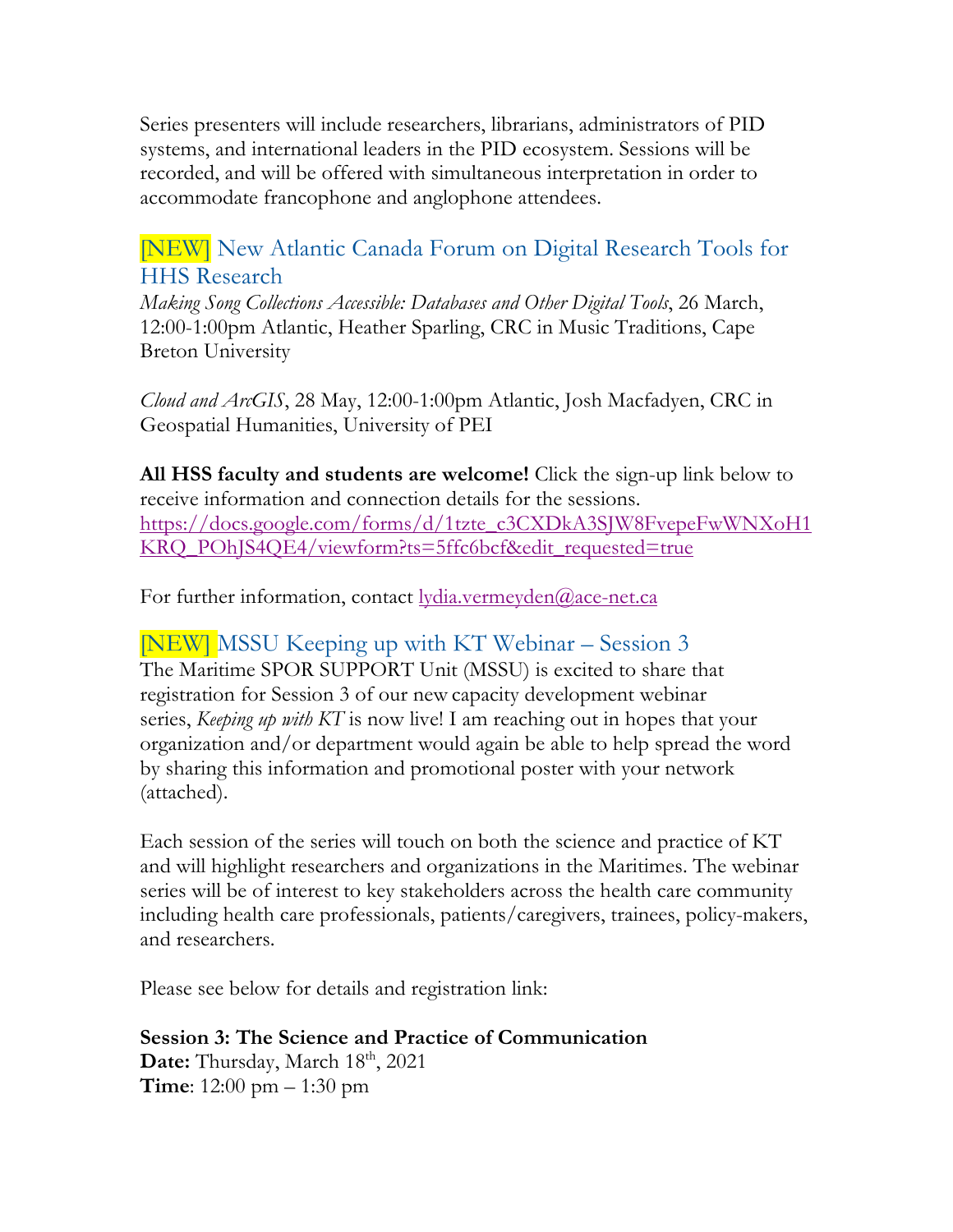Series presenters will include researchers, librarians, administrators of PID systems, and international leaders in the PID ecosystem. Sessions will be recorded, and will be offered with simultaneous interpretation in order to accommodate francophone and anglophone attendees.

#### [NEW] New Atlantic Canada Forum on Digital Research Tools for HHS Research

*Making Song Collections Accessible: Databases and Other Digital Tools*, 26 March, 12:00-1:00pm Atlantic, Heather Sparling, CRC in Music Traditions, Cape Breton University

*Cloud and ArcGIS*, 28 May, 12:00-1:00pm Atlantic, Josh Macfadyen, CRC in Geospatial Humanities, University of PEI

**All HSS faculty and students are welcome!** Click the sign-up link below to receive information and connection details for the sessions. https://docs.google.com/forms/d/1tzte\_c3CXDkA3SJW8FvepeFwWNXoH1 KRQ\_POhJS4QE4/viewform?ts=5ffc6bcf&edit\_requested=true

For further information, contact lydia.vermeyden@ace-net.ca

#### [NEW] MSSU Keeping up with KT Webinar – Session 3

The Maritime SPOR SUPPORT Unit (MSSU) is excited to share that registration for Session 3 of our new capacity development webinar series, *Keeping up with KT* is now live! I am reaching out in hopes that your organization and/or department would again be able to help spread the word by sharing this information and promotional poster with your network (attached).

Each session of the series will touch on both the science and practice of KT and will highlight researchers and organizations in the Maritimes. The webinar series will be of interest to key stakeholders across the health care community including health care professionals, patients/caregivers, trainees, policy-makers, and researchers.

Please see below for details and registration link:

**Session 3: The Science and Practice of Communication** Date: Thursday, March 18<sup>th</sup>, 2021 **Time**: 12:00 pm – 1:30 pm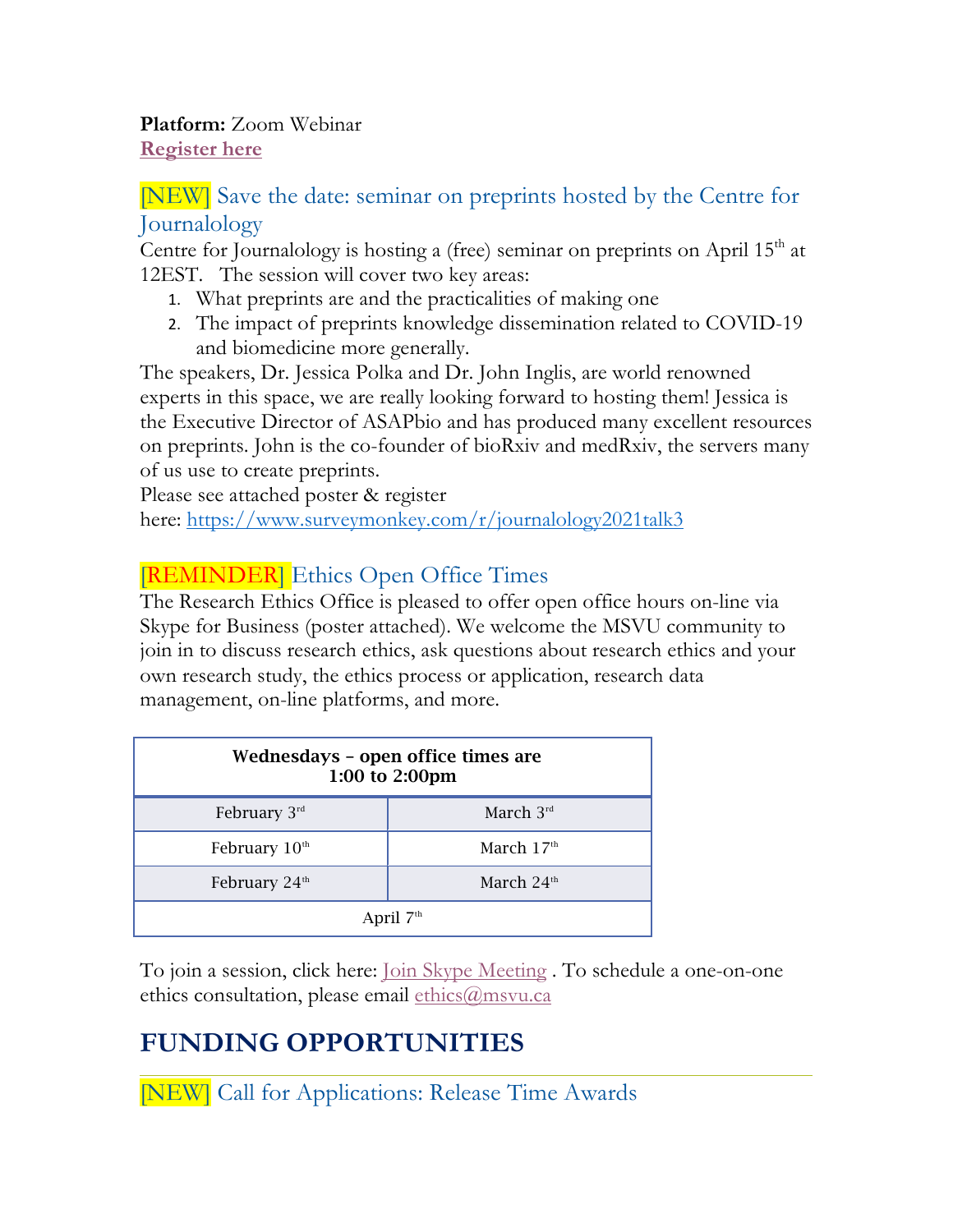**Platform:** Zoom Webinar **Register here**

#### [NEW] Save the date: seminar on preprints hosted by the Centre for Journalology

Centre for Journalology is hosting a (free) seminar on preprints on April  $15<sup>th</sup>$  at 12EST. The session will cover two key areas:

- 1. What preprints are and the practicalities of making one
- 2. The impact of preprints knowledge dissemination related to COVID-19 and biomedicine more generally.

The speakers, Dr. Jessica Polka and Dr. John Inglis, are world renowned experts in this space, we are really looking forward to hosting them! Jessica is the Executive Director of ASAPbio and has produced many excellent resources on preprints. John is the co-founder of bioRxiv and medRxiv, the servers many of us use to create preprints.

Please see attached poster & register here: https://www.surveymonkey.com/r/journalology2021talk3

### **[REMINDER]** Ethics Open Office Times

The Research Ethics Office is pleased to offer open office hours on-line via Skype for Business (poster attached). We welcome the MSVU community to join in to discuss research ethics, ask questions about research ethics and your own research study, the ethics process or application, research data management, on-line platforms, and more.

| Wednesdays - open office times are<br>1:00 to 2:00pm |              |
|------------------------------------------------------|--------------|
| February $3^{rd}$                                    | March $3rd$  |
| February $10th$                                      | March $17th$ |
| February 24 <sup>th</sup>                            | March $24th$ |
| April $7th$                                          |              |

To join a session, click here: Join Skype Meeting . To schedule a one-on-one ethics consultation, please email ethics@msvu.ca

# **FUNDING OPPORTUNITIES**

[NEW] Call for Applications: Release Time Awards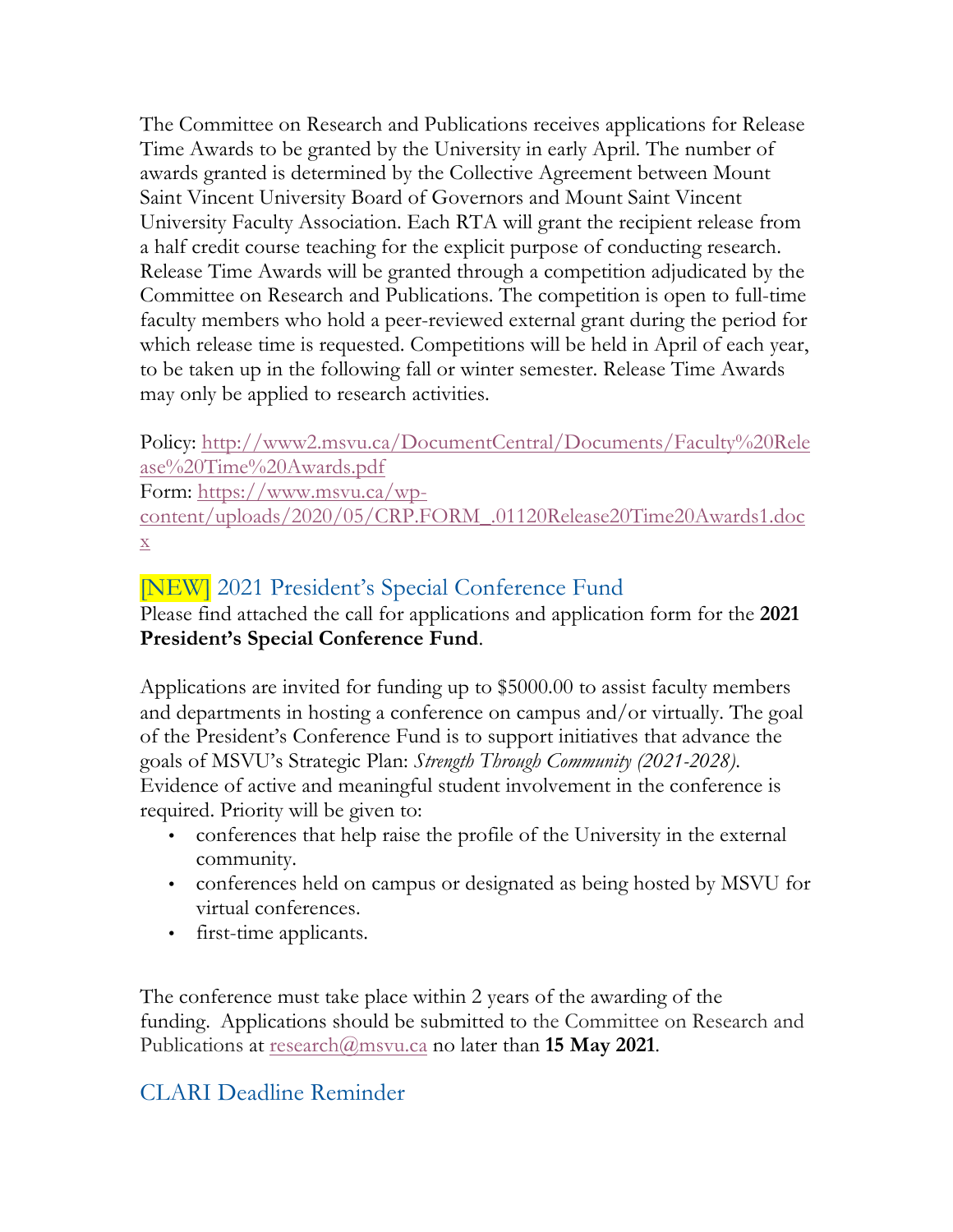The Committee on Research and Publications receives applications for Release Time Awards to be granted by the University in early April. The number of awards granted is determined by the Collective Agreement between Mount Saint Vincent University Board of Governors and Mount Saint Vincent University Faculty Association. Each RTA will grant the recipient release from a half credit course teaching for the explicit purpose of conducting research. Release Time Awards will be granted through a competition adjudicated by the Committee on Research and Publications. The competition is open to full-time faculty members who hold a peer-reviewed external grant during the period for which release time is requested. Competitions will be held in April of each year, to be taken up in the following fall or winter semester. Release Time Awards may only be applied to research activities.

Policy: http://www2.msvu.ca/DocumentCentral/Documents/Faculty%20Rele ase%20Time%20Awards.pdf

Form: https://www.msvu.ca/wp-

content/uploads/2020/05/CRP.FORM\_.01120Release20Time20Awards1.doc x

### [NEW] 2021 President's Special Conference Fund

Please find attached the call for applications and application form for the **2021 President's Special Conference Fund**.

Applications are invited for funding up to \$5000.00 to assist faculty members and departments in hosting a conference on campus and/or virtually. The goal of the President's Conference Fund is to support initiatives that advance the goals of MSVU's Strategic Plan: *Strength Through Community (2021-2028)*. Evidence of active and meaningful student involvement in the conference is required. Priority will be given to:

- conferences that help raise the profile of the University in the external community.
- conferences held on campus or designated as being hosted by MSVU for virtual conferences.
- first-time applicants.

The conference must take place within 2 years of the awarding of the funding. Applications should be submitted to the Committee on Research and Publications at research@msvu.ca no later than **15 May 2021**.

### CLARI Deadline Reminder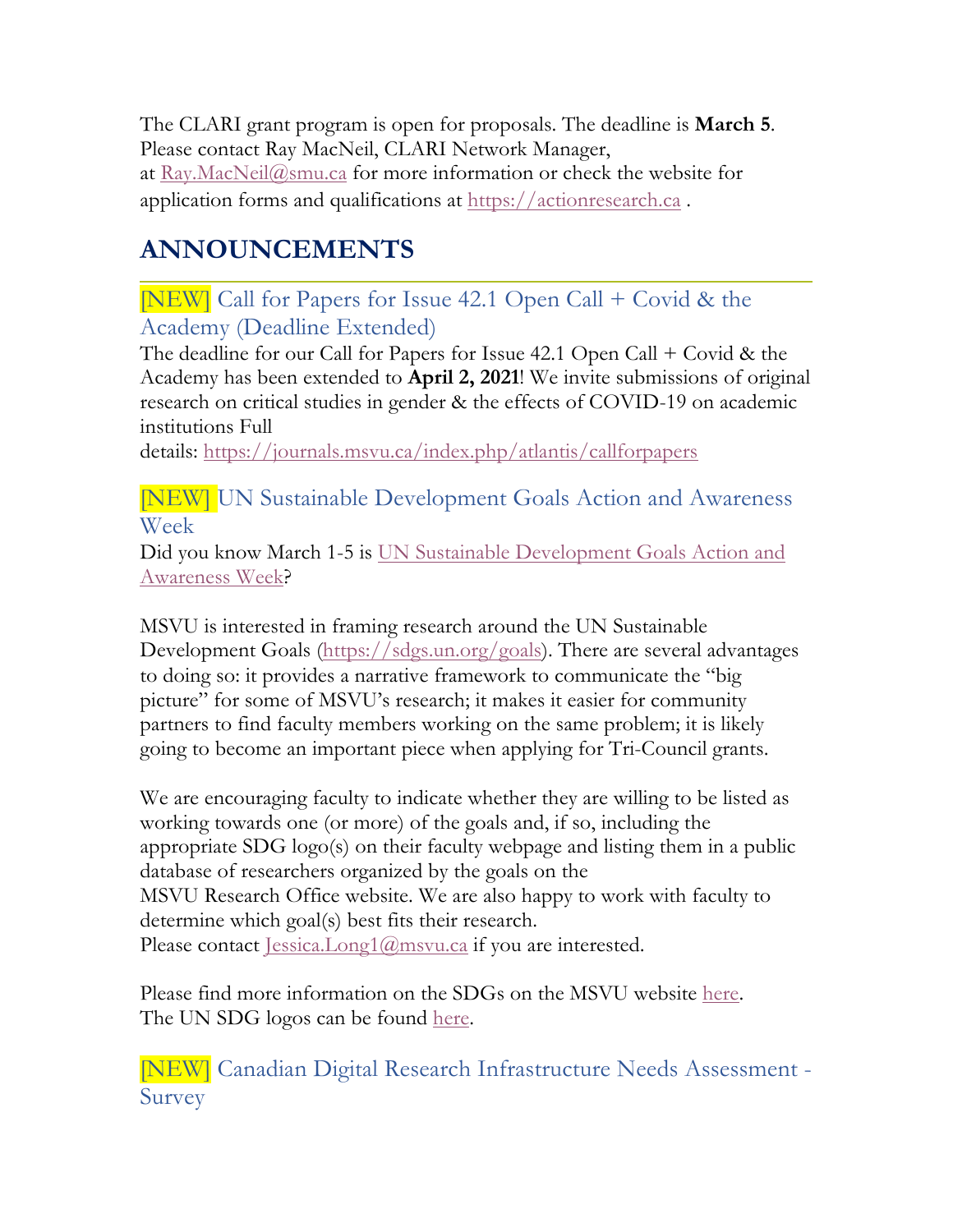The CLARI grant program is open for proposals. The deadline is **March 5**. Please contact Ray MacNeil, CLARI Network Manager, at Ray.MacNeil@smu.ca for more information or check the website for application forms and qualifications at https://actionresearch.ca .

# **ANNOUNCEMENTS**

[NEW] Call for Papers for Issue 42.1 Open Call + Covid & the Academy (Deadline Extended)

The deadline for our Call for Papers for Issue 42.1 Open Call + Covid & the Academy has been extended to **April 2, 2021**! We invite submissions of original research on critical studies in gender & the effects of COVID-19 on academic institutions Full

details: https://journals.msvu.ca/index.php/atlantis/callforpapers

[NEW] UN Sustainable Development Goals Action and Awareness Week

Did you know March 1-5 is UN Sustainable Development Goals Action and Awareness Week?

MSVU is interested in framing research around the UN Sustainable Development Goals (https://sdgs.un.org/goals). There are several advantages to doing so: it provides a narrative framework to communicate the "big picture" for some of MSVU's research; it makes it easier for community partners to find faculty members working on the same problem; it is likely going to become an important piece when applying for Tri-Council grants.

We are encouraging faculty to indicate whether they are willing to be listed as working towards one (or more) of the goals and, if so, including the appropriate SDG logo(s) on their faculty webpage and listing them in a public database of researchers organized by the goals on the MSVU Research Office website. We are also happy to work with faculty to determine which goal(s) best fits their research. Please contact <u>Jessica.Long1@msvu.ca</u> if you are interested.

Please find more information on the SDGs on the MSVU website here. The UN SDG logos can be found here.

[NEW] Canadian Digital Research Infrastructure Needs Assessment - Survey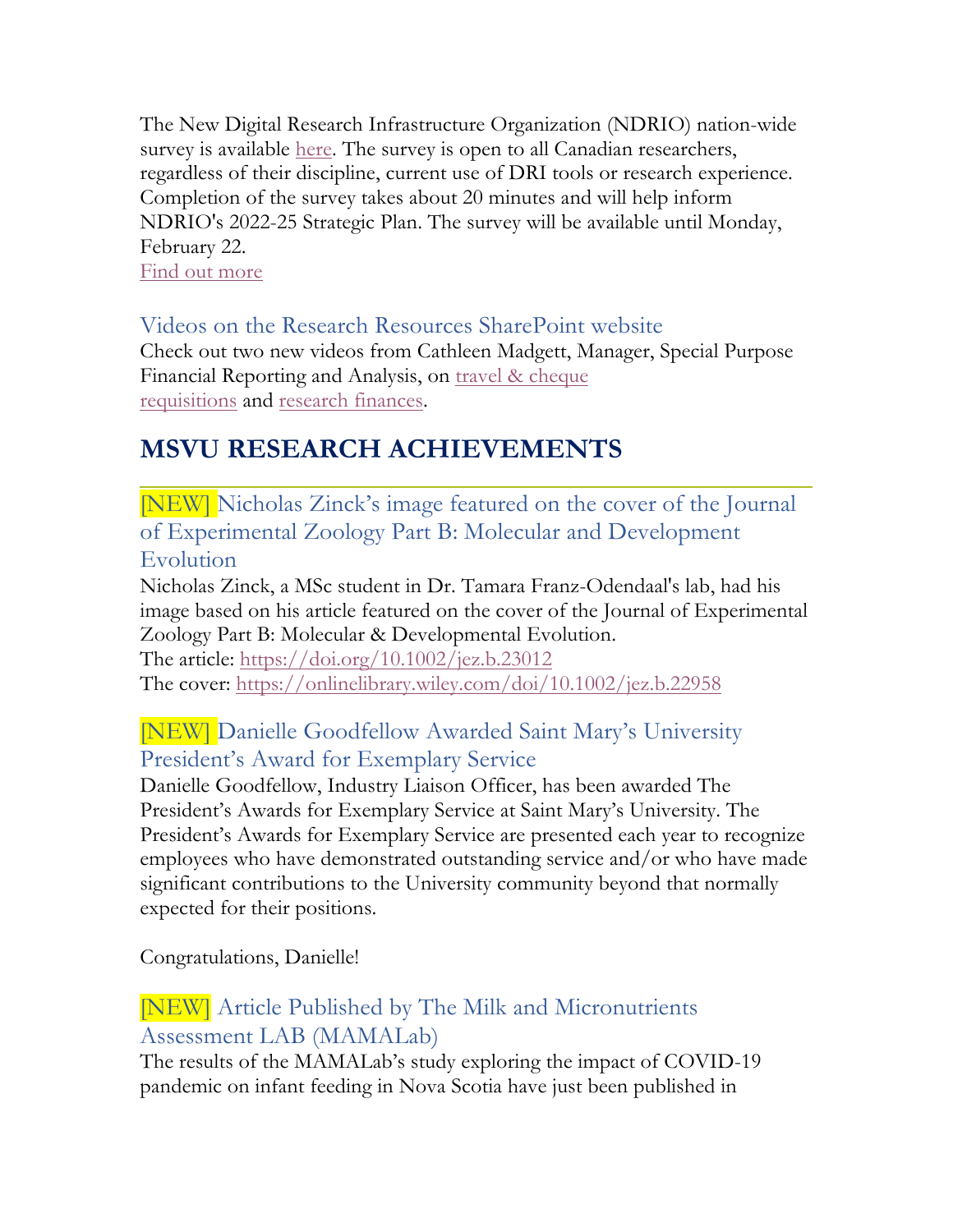The New Digital Research Infrastructure Organization (NDRIO) nation-wide survey is available here. The survey is open to all Canadian researchers, regardless of their discipline, current use of DRI tools or research experience. Completion of the survey takes about 20 minutes and will help inform NDRIO's 2022-25 Strategic Plan. The survey will be available until Monday, February 22.

Find out more

#### Videos on the Research Resources SharePoint website

Check out two new videos from Cathleen Madgett, Manager, Special Purpose Financial Reporting and Analysis, on travel & cheque requisitions and research finances.

# **MSVU RESEARCH ACHIEVEMENTS**

[NEW] Nicholas Zinck's image featured on the cover of the Journal of Experimental Zoology Part B: Molecular and Development Evolution

Nicholas Zinck, a MSc student in Dr. Tamara Franz-Odendaal's lab, had his image based on his article featured on the cover of the Journal of Experimental Zoology Part B: Molecular & Developmental Evolution.

The article: https://doi.org/10.1002/jez.b.23012 The cover: https://onlinelibrary.wiley.com/doi/10.1002/jez.b.22958

### [NEW] Danielle Goodfellow Awarded Saint Mary's University President's Award for Exemplary Service

Danielle Goodfellow, Industry Liaison Officer, has been awarded The President's Awards for Exemplary Service at Saint Mary's University. The President's Awards for Exemplary Service are presented each year to recognize employees who have demonstrated outstanding service and/or who have made significant contributions to the University community beyond that normally expected for their positions.

Congratulations, Danielle!

### [NEW] Article Published by The Milk and Micronutrients Assessment LAB (MAMALab)

The results of the MAMALab's study exploring the impact of COVID-19 pandemic on infant feeding in Nova Scotia have just been published in